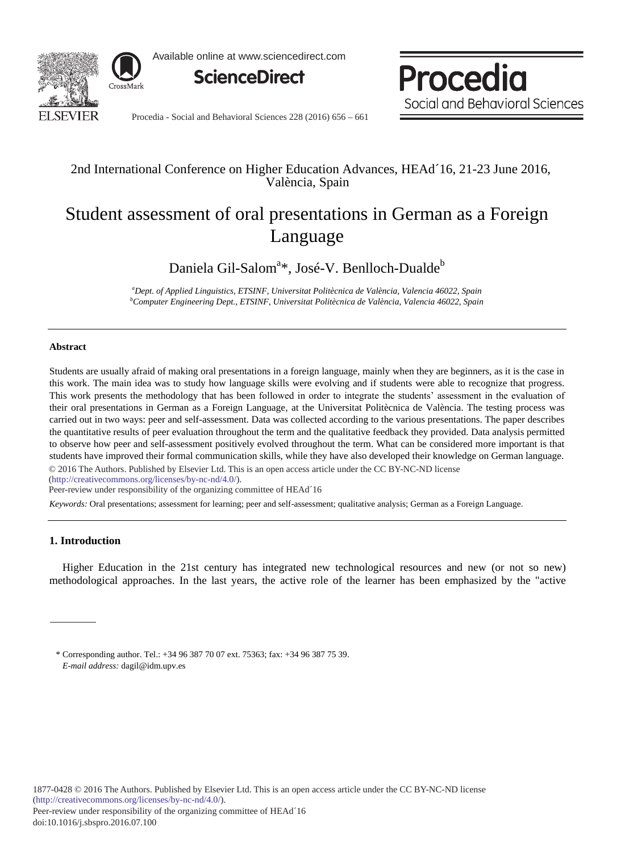

Available online at www.sciencedirect.com

**ScienceDirect**

Procedia Social and Behavioral Sciences

Procedia - Social and Behavioral Sciences 228 (2016) 656 – 661

# 2nd International Conference on Higher Education Advances, HEAd´16, 21-23 June 2016, València, Spain

# Student assessment of oral presentations in German as a Foreign Language

Daniela Gil-Salom<sup>a</sup>\*, José-V. Benlloch-Dualde<sup>b</sup>

<sup>a</sup> Dept. of Applied Linguistics, ETSINF, Universitat Politècnica de València, Valencia 46022, Spain b<br><sup>b</sup>Computer Frainesrine Dept. ETSINF, Universitat Politècnica de València, Valencia 46022, Spain *Computer Engineering Dept., ETSINF, Universitat Politècnica de València, Valencia 46022, Spain* 

#### **Abstract**

Students are usually afraid of making oral presentations in a foreign language, mainly when they are beginners, as it is the case in this work. The main idea was to study how language skills were evolving and if students were able to recognize that progress. This work presents the methodology that has been followed in order to integrate the students' assessment in the evaluation of their oral presentations in German as a Foreign Language, at the Universitat Politècnica de València. The testing process was carried out in two ways: peer and self-assessment. Data was collected according to the various presentations. The paper describes the quantitative results of peer evaluation throughout the term and the qualitative feedback they provided. Data analysis permitted to observe how peer and self-assessment positively evolved throughout the term. What can be considered more important is that students have improved their formal communication skills, while they have also developed their knowledge on German language. © 2016 The Authors. Published by Elsevier Ltd. © 2016 The Authors. Published by Elsevier Ltd. This is an open access article under the CC BY-NC-ND license

(http://creativecommons.org/licenses/by-nc-nd/4.0/). Peer-review under responsibility of the organizing committee of HEAd´16

*Keywords:* Oral presentations; assessment for learning; peer and self-assessment; qualitative analysis; German as a Foreign Language.

#### **1. Introduction**

Higher Education in the 21st century has integrated new technological resources and new (or not so new) methodological approaches. In the last years, the active role of the learner has been emphasized by the "active

\* Corresponding author. Tel.: +34 96 387 70 07 ext. 75363; fax: +34 96 387 75 39. *E-mail address:* dagil@idm.upv.es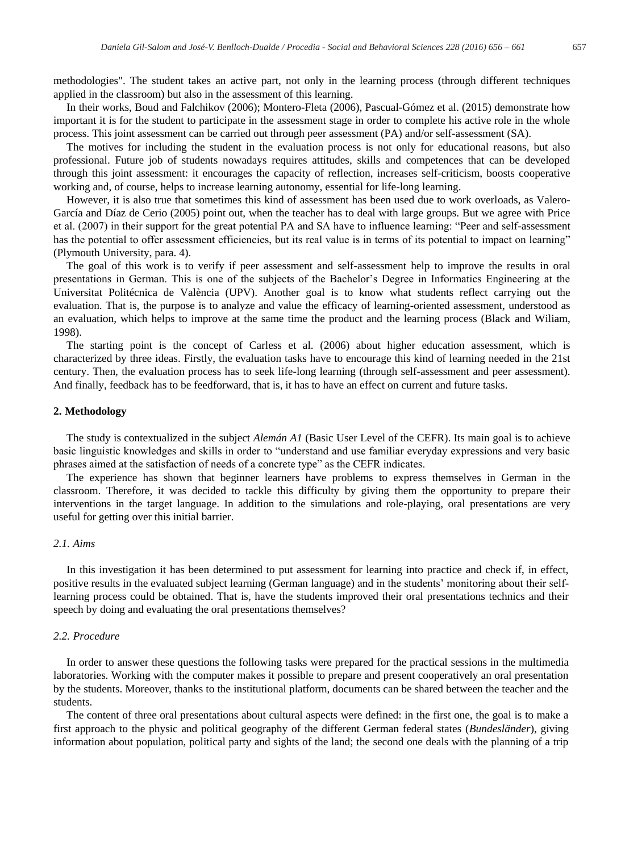methodologies". The student takes an active part, not only in the learning process (through different techniques applied in the classroom) but also in the assessment of this learning.

In their works, Boud and Falchikov (2006); Montero-Fleta (2006), Pascual-Gómez et al. (2015) demonstrate how important it is for the student to participate in the assessment stage in order to complete his active role in the whole process. This joint assessment can be carried out through peer assessment (PA) and/or self-assessment (SA).

The motives for including the student in the evaluation process is not only for educational reasons, but also professional. Future job of students nowadays requires attitudes, skills and competences that can be developed through this joint assessment: it encourages the capacity of reflection, increases self-criticism, boosts cooperative working and, of course, helps to increase learning autonomy, essential for life-long learning.

However, it is also true that sometimes this kind of assessment has been used due to work overloads, as Valero-García and Díaz de Cerio (2005) point out, when the teacher has to deal with large groups. But we agree with Price et al. (2007) in their support for the great potential PA and SA have to influence learning: "Peer and self-assessment has the potential to offer assessment efficiencies, but its real value is in terms of its potential to impact on learning" (Plymouth University, para. 4).

The goal of this work is to verify if peer assessment and self-assessment help to improve the results in oral presentations in German. This is one of the subjects of the Bachelor's Degree in Informatics Engineering at the Universitat Politécnica de València (UPV). Another goal is to know what students reflect carrying out the evaluation. That is, the purpose is to analyze and value the efficacy of learning-oriented assessment, understood as an evaluation, which helps to improve at the same time the product and the learning process (Black and Wiliam, 1998).

The starting point is the concept of Carless et al. (2006) about higher education assessment, which is characterized by three ideas. Firstly, the evaluation tasks have to encourage this kind of learning needed in the 21st century. Then, the evaluation process has to seek life-long learning (through self-assessment and peer assessment). And finally, feedback has to be feedforward, that is, it has to have an effect on current and future tasks.

#### **2. Methodology**

The study is contextualized in the subject *Alemán A1* (Basic User Level of the CEFR). Its main goal is to achieve basic linguistic knowledges and skills in order to "understand and use familiar everyday expressions and very basic phrases aimed at the satisfaction of needs of a concrete type" as the CEFR indicates.

The experience has shown that beginner learners have problems to express themselves in German in the classroom. Therefore, it was decided to tackle this difficulty by giving them the opportunity to prepare their interventions in the target language. In addition to the simulations and role-playing, oral presentations are very useful for getting over this initial barrier.

#### *2.1. Aims*

In this investigation it has been determined to put assessment for learning into practice and check if, in effect, positive results in the evaluated subject learning (German language) and in the students' monitoring about their selflearning process could be obtained. That is, have the students improved their oral presentations technics and their speech by doing and evaluating the oral presentations themselves?

#### *2.2. Procedure*

In order to answer these questions the following tasks were prepared for the practical sessions in the multimedia laboratories. Working with the computer makes it possible to prepare and present cooperatively an oral presentation by the students. Moreover, thanks to the institutional platform, documents can be shared between the teacher and the students.

The content of three oral presentations about cultural aspects were defined: in the first one, the goal is to make a first approach to the physic and political geography of the different German federal states (*Bundesländer*), giving information about population, political party and sights of the land; the second one deals with the planning of a trip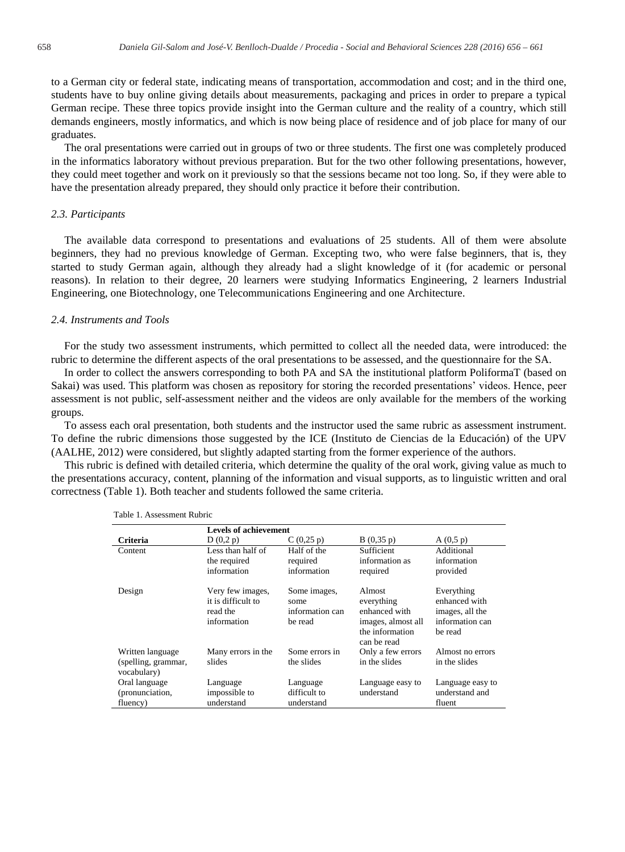to a German city or federal state, indicating means of transportation, accommodation and cost; and in the third one, students have to buy online giving details about measurements, packaging and prices in order to prepare a typical German recipe. These three topics provide insight into the German culture and the reality of a country, which still demands engineers, mostly informatics, and which is now being place of residence and of job place for many of our graduates.

The oral presentations were carried out in groups of two or three students. The first one was completely produced in the informatics laboratory without previous preparation. But for the two other following presentations, however, they could meet together and work on it previously so that the sessions became not too long. So, if they were able to have the presentation already prepared, they should only practice it before their contribution.

### *2.3. Participants*

The available data correspond to presentations and evaluations of 25 students. All of them were absolute beginners, they had no previous knowledge of German. Excepting two, who were false beginners, that is, they started to study German again, although they already had a slight knowledge of it (for academic or personal reasons). In relation to their degree, 20 learners were studying Informatics Engineering, 2 learners Industrial Engineering, one Biotechnology, one Telecommunications Engineering and one Architecture.

### *2.4. Instruments and Tools*

For the study two assessment instruments, which permitted to collect all the needed data, were introduced: the rubric to determine the different aspects of the oral presentations to be assessed, and the questionnaire for the SA.

In order to collect the answers corresponding to both PA and SA the institutional platform PoliformaT (based on Sakai) was used. This platform was chosen as repository for storing the recorded presentations' videos. Hence, peer assessment is not public, self-assessment neither and the videos are only available for the members of the working groups.

To assess each oral presentation, both students and the instructor used the same rubric as assessment instrument. To define the rubric dimensions those suggested by the ICE (Instituto de Ciencias de la Educación) of the UPV (AALHE, 2012) were considered, but slightly adapted starting from the former experience of the authors.

This rubric is defined with detailed criteria, which determine the quality of the oral work, giving value as much to the presentations accuracy, content, planning of the information and visual supports, as to linguistic written and oral correctness (Table 1). Both teacher and students followed the same criteria.

|                                                        | <b>Levels of achievement</b>                                      |                                                    |                                                                                               |                                                                              |
|--------------------------------------------------------|-------------------------------------------------------------------|----------------------------------------------------|-----------------------------------------------------------------------------------------------|------------------------------------------------------------------------------|
| <b>Criteria</b>                                        | D(0,2p)                                                           | C(0,25p)                                           | B(0,35 p)                                                                                     | A(0,5 p)                                                                     |
| Content                                                | Less than half of<br>the required<br>information                  | Half of the<br>required<br>information             | <b>Sufficient</b><br>information as<br>required                                               | Additional<br>information<br>provided                                        |
| Design                                                 | Very few images,<br>it is difficult to<br>read the<br>information | Some images,<br>some<br>information can<br>be read | Almost<br>everything<br>enhanced with<br>images, almost all<br>the information<br>can be read | Everything<br>enhanced with<br>images, all the<br>information can<br>be read |
| Written language<br>(spelling, grammar,<br>vocabulary) | Many errors in the<br>slides                                      | Some errors in<br>the slides                       | Only a few errors<br>in the slides                                                            | Almost no errors<br>in the slides                                            |
| Oral language<br>(pronunciation,<br>fluency)           | Language<br>impossible to<br>understand                           | Language<br>difficult to<br>understand             | Language easy to<br>understand                                                                | Language easy to<br>understand and<br>fluent                                 |

Table 1. Assessment Rubric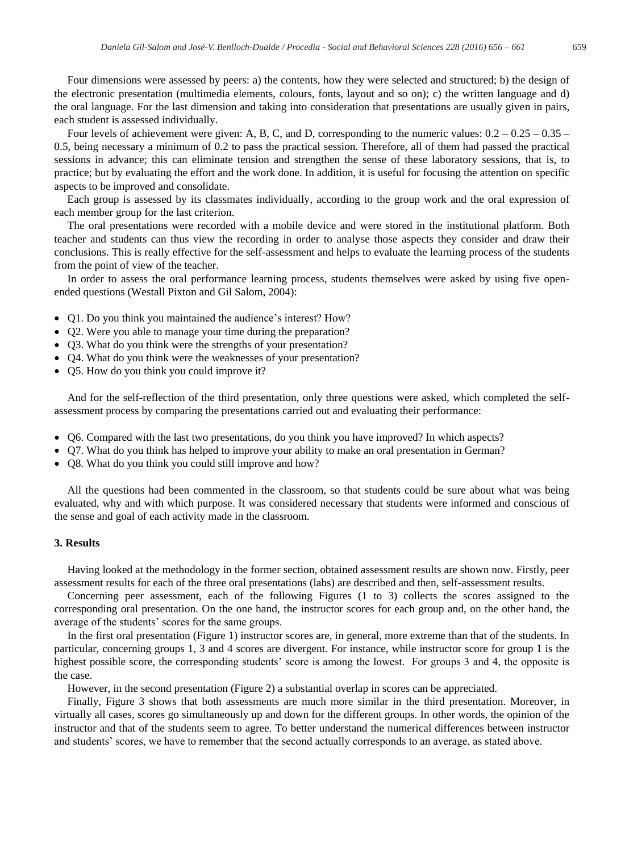Four dimensions were assessed by peers: a) the contents, how they were selected and structured; b) the design of the electronic presentation (multimedia elements, colours, fonts, layout and so on); c) the written language and d) the oral language. For the last dimension and taking into consideration that presentations are usually given in pairs, each student is assessed individually.

Four levels of achievement were given: A, B, C, and D, corresponding to the numeric values:  $0.2 - 0.25 - 0.35 - 0.35$ 0.5, being necessary a minimum of 0.2 to pass the practical session. Therefore, all of them had passed the practical sessions in advance; this can eliminate tension and strengthen the sense of these laboratory sessions, that is, to practice; but by evaluating the effort and the work done. In addition, it is useful for focusing the attention on specific aspects to be improved and consolidate.

Each group is assessed by its classmates individually, according to the group work and the oral expression of each member group for the last criterion.

The oral presentations were recorded with a mobile device and were stored in the institutional platform. Both teacher and students can thus view the recording in order to analyse those aspects they consider and draw their conclusions. This is really effective for the self-assessment and helps to evaluate the learning process of the students from the point of view of the teacher.

In order to assess the oral performance learning process, students themselves were asked by using five openended questions (Westall Pixton and Gil Salom, 2004):

- Q1. Do you think you maintained the audience's interest? How?
- Q2. Were you able to manage your time during the preparation?
- Q3. What do you think were the strengths of your presentation?
- Q4. What do you think were the weaknesses of your presentation?
- Q5. How do you think you could improve it?

And for the self-reflection of the third presentation, only three questions were asked, which completed the selfassessment process by comparing the presentations carried out and evaluating their performance:

- Q6. Compared with the last two presentations, do you think you have improved? In which aspects?
- Q7. What do you think has helped to improve your ability to make an oral presentation in German?
- Q8. What do you think you could still improve and how?

All the questions had been commented in the classroom, so that students could be sure about what was being evaluated, why and with which purpose. It was considered necessary that students were informed and conscious of the sense and goal of each activity made in the classroom.

# **3. Results**

Having looked at the methodology in the former section, obtained assessment results are shown now. Firstly, peer assessment results for each of the three oral presentations (labs) are described and then, self-assessment results.

Concerning peer assessment, each of the following Figures (1 to 3) collects the scores assigned to the corresponding oral presentation. On the one hand, the instructor scores for each group and, on the other hand, the average of the students' scores for the same groups.

In the first oral presentation (Figure 1) instructor scores are, in general, more extreme than that of the students. In particular, concerning groups 1, 3 and 4 scores are divergent. For instance, while instructor score for group 1 is the highest possible score, the corresponding students' score is among the lowest. For groups 3 and 4, the opposite is the case.

However, in the second presentation (Figure 2) a substantial overlap in scores can be appreciated.

Finally, Figure 3 shows that both assessments are much more similar in the third presentation. Moreover, in virtually all cases, scores go simultaneously up and down for the different groups. In other words, the opinion of the instructor and that of the students seem to agree. To better understand the numerical differences between instructor and students' scores, we have to remember that the second actually corresponds to an average, as stated above.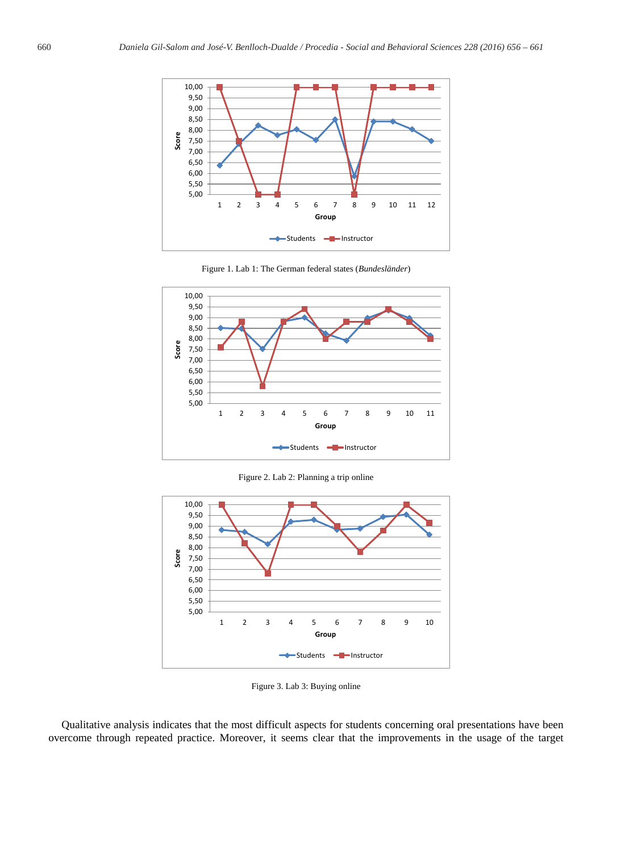

Figure 1. Lab 1: The German federal states (*Bundesländer*)



Figure 2. Lab 2: Planning a trip online



Figure 3. Lab 3: Buying online

Qualitative analysis indicates that the most difficult aspects for students concerning oral presentations have been overcome through repeated practice. Moreover, it seems clear that the improvements in the usage of the target